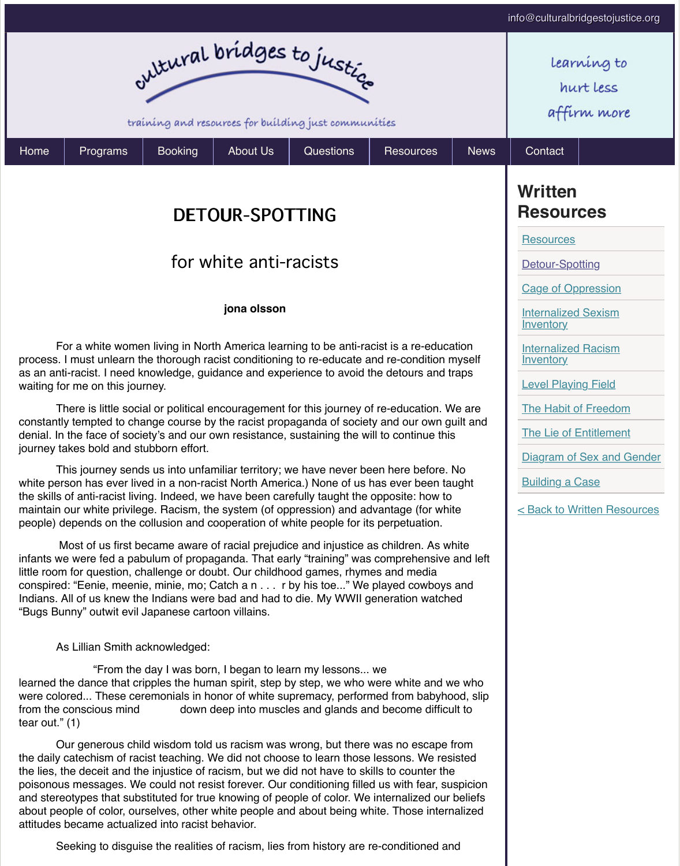For a white women living in North America learning to be anti-racist is a reprocess. I must unlearn the thorough racist conditioning to re-educate and re-condition myself as an anti-racist. I need knowledge, guidance and experience to avoid the detours waiting for me on this journey.

**jona olsson**

There is little social or political encouragement for this journey of re-education. constantly tempted to change course by the racist propaganda of society and our o denial. In the face of society's and our own resistance, sustaining the will to continu journey takes bold and stubborn effort.

T[his journey send](http://www.culturalbridgestojustice.org/programs)[s us into unfa](http://www.culturalbridgestojustice.org/booking)[miliar territory; w](http://www.culturalbridgestojustice.org/about-us)[e have never be](http://www.culturalbridgestojustice.org/Questions)en here before. white person has ever lived in a non-racist North America.) None of us has ever be the skills of anti-racist living. Indeed, we have been carefully taught the opposite: he maintain our white privilege. Racism, the system (of oppression) and advantage (for people) depends on the collusion and cooperation of white people for its perpetuati

Most of us first became aware of racial prejudice and injustice as children. infants we were fed a pabulum of propaganda. That early "training" was compreher little room for question, challenge or doubt. Our childhood games, rhymes and med conspired: "Eenie, meenie, minie, mo; Catch a n . . . r by his toe..." We played cow Indians. All of us knew the Indians were bad and had to die. My WWII generation w "Bugs Bunny" outwit evil Japanese cartoon villains.

As Lillian Smith acknowledged:

 "From the day I was born, I began to learn my lessons... we learned the dance that cripples the human spirit, step by step, we who were white and we we who were colored... These ceremonials in honor of white supremacy, performed from ba from the conscious mind down deep into muscles and glands and become tear out." (1)

Our generous child wisdom told us racism was wrong, but there was no escape from the daily catechism of racist teaching. We did not choose to learn those lessons. W the lies, the deceit and the injustice of racism, but we did not have to skills to count poisonous messages. We could not resist forever. Our conditioning filled us with fear and stereotypes that substituted for true knowing of people of color. We internalized about people of color, ourselves, other white people and about being white. Those attitudes became actualized into racist behavior.

Seeking to disguise the realities of racism, lies from history are re-condition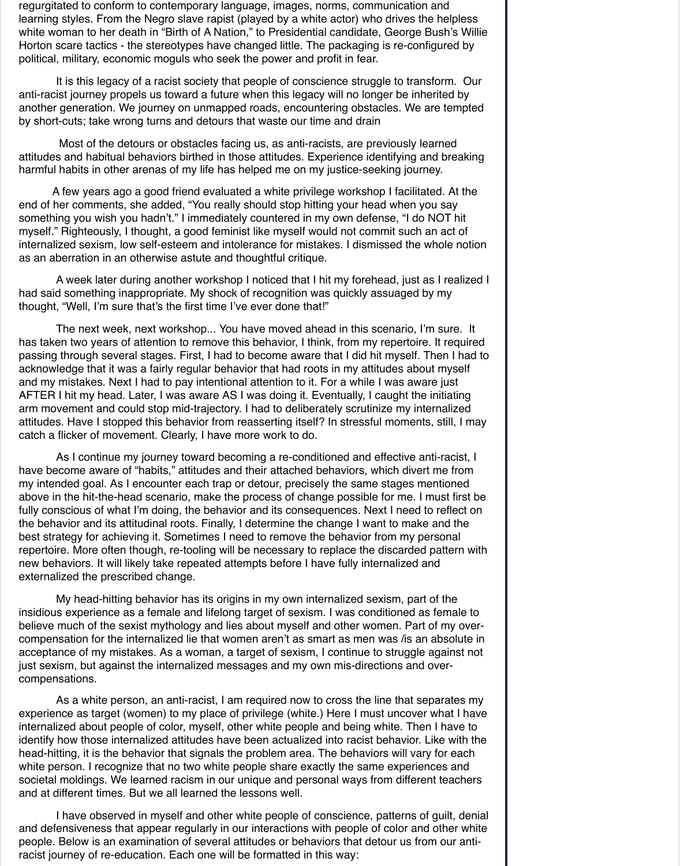regurgitated to conform to contemporary language, images, norms, communication and learning styles. From the Negro slave rapist (played by a white actor) who drives the helpless white woman to her death in "Birth of A Nation," to Presidential candidate, George Bush's Willie Horton scare tactics - the stereotypes have changed little. The packaging is re-configured by political, military, economic moguls who seek the power and profit in fear.

 It is this legacy of a racist society that people of conscience struggle to transform. Our anti-racist journey propels us toward a future when this legacy will no longer be inherited by another generation. We journey on unmapped roads, encountering obstacles. We are tempted by short-cuts; take wrong turns and detours that waste our time and drain

 Most of the detours or obstacles facing us, as anti-racists, are previously learned attitudes and habitual behaviors birthed in those attitudes. Experience identifying and breaking harmful habits in other arenas of my life has helped me on my justice-seeking journey.

A few years ago a good friend evaluated a white privilege workshop I facilitated. At the end of her comments, she added, "You really should stop hitting your head when you say something you wish you hadn't." I immediately countered in my own defense, "I do NOT hit myself." Righteously, I thought, a good feminist like myself would not commit such an act of internalized sexism, low self-esteem and intolerance for mistakes. I dismissed the whole notion as an aberration in an otherwise astute and thoughtful critique.

 A week later during another workshop I noticed that I hit my forehead, just as I realized I had said something inappropriate. My shock of recognition was quickly assuaged by my thought, "Well, I'm sure that's the first time I've ever done that!"

 The next week, next workshop... You have moved ahead in this scenario, I'm sure. It has taken two years of attention to remove this behavior, I think, from my repertoire. It required passing through several stages. First, I had to become aware that I did hit myself. Then I had to acknowledge that it was a fairly regular behavior that had roots in my attitudes about myself and my mistakes. Next I had to pay intentional attention to it. For a while I was aware just AFTER I hit my head. Later, I was aware AS I was doing it. Eventually, I caught the initiating arm movement and could stop mid-trajectory. I had to deliberately scrutinize my internalized attitudes. Have I stopped this behavior from reasserting itself? In stressful moments, still, I may catch a flicker of movement. Clearly, I have more work to do.

 As I continue my journey toward becoming a re-conditioned and effective anti-racist, I have become aware of "habits," attitudes and their attached behaviors, which divert me from my intended goal. As I encounter each trap or detour, precisely the same stages mentioned above in the hit-the-head scenario, make the process of change possible for me. I must first be fully conscious of what I'm doing, the behavior and its consequences. Next I need to reflect on the behavior and its attitudinal roots. Finally, I determine the change I want to make and the best strategy for achieving it. Sometimes I need to remove the behavior from my personal repertoire. More often though, re-tooling will be necessary to replace the discarded pattern with new behaviors. It will likely take repeated attempts before I have fully internalized and externalized the prescribed change.

 My head-hitting behavior has its origins in my own internalized sexism, part of the insidious experience as a female and lifelong target of sexism. I was conditioned as female to believe much of the sexist mythology and lies about myself and other women. Part of my overcompensation for the internalized lie that women aren't as smart as men was /is an absolute in acceptance of my mistakes. As a woman, a target of sexism, I continue to struggle against not just sexism, but against the internalized messages and my own mis-directions and overcompensations.

 As a white person, an anti-racist, I am required now to cross the line that separates my experience as target (women) to my place of privilege (white.) Here I must uncover what I have internalized about people of color, myself, other white people and being white. Then I have to identify how those internalized attitudes have been actualized into racist behavior. Like with the head-hitting, it is the behavior that signals the problem area. The behaviors will vary for each white person. I recognize that no two white people share exactly the same experiences and societal moldings. We learned racism in our unique and personal ways from different teachers and at different times. But we all learned the lessons well.

 I have observed in myself and other white people of conscience, patterns of guilt, denial and defensiveness that appear regularly in our interactions with people of color and other white people. Below is an examination of several attitudes or behaviors that detour us from our antiracist journey of re-education. Each one will be formatted in this way: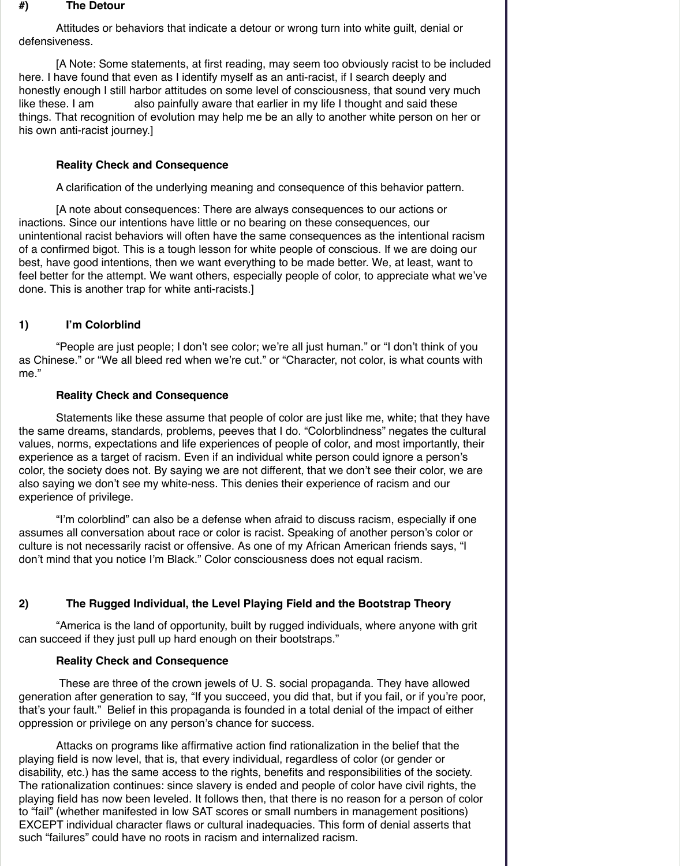#### **#) The Detour**

 Attitudes or behaviors that indicate a detour or wrong turn into white guilt, denial or defensiveness.

 [A Note: Some statements, at first reading, may seem too obviously racist to be included here. I have found that even as I identify myself as an anti-racist, if I search deeply and honestly enough I still harbor attitudes on some level of consciousness, that sound very much like these. I am also painfully aware that earlier in my life I thought and said these things. That recognition of evolution may help me be an ally to another white person on her or his own anti-racist journey.]

## **Reality Check and Consequence**

A clarification of the underlying meaning and consequence of this behavior pattern.

 [A note about consequences: There are always consequences to our actions or inactions. Since our intentions have little or no bearing on these consequences, our unintentional racist behaviors will often have the same consequences as the intentional racism of a confirmed bigot. This is a tough lesson for white people of conscious. If we are doing our best, have good intentions, then we want everything to be made better. We, at least, want to feel better for the attempt. We want others, especially people of color, to appreciate what we've done. This is another trap for white anti-racists.]

# **1) I'm Colorblind**

 "People are just people; I don't see color; we're all just human." or "I don't think of you as Chinese." or "We all bleed red when we're cut." or "Character, not color, is what counts with me."

## **Reality Check and Consequence**

 Statements like these assume that people of color are just like me, white; that they have the same dreams, standards, problems, peeves that I do. "Colorblindness" negates the cultural values, norms, expectations and life experiences of people of color, and most importantly, their experience as a target of racism. Even if an individual white person could ignore a person's color, the society does not. By saying we are not different, that we don't see their color, we are also saying we don't see my white-ness. This denies their experience of racism and our experience of privilege.

 "I'm colorblind" can also be a defense when afraid to discuss racism, especially if one assumes all conversation about race or color is racist. Speaking of another person's color or culture is not necessarily racist or offensive. As one of my African American friends says, "I don't mind that you notice I'm Black." Color consciousness does not equal racism.

# **2) The Rugged Individual, the Level Playing Field and the Bootstrap Theory**

 "America is the land of opportunity, built by rugged individuals, where anyone with grit can succeed if they just pull up hard enough on their bootstraps."

#### **Reality Check and Consequence**

 These are three of the crown jewels of U. S. social propaganda. They have allowed generation after generation to say, "If you succeed, you did that, but if you fail, or if you're poor, that's your fault." Belief in this propaganda is founded in a total denial of the impact of either oppression or privilege on any person's chance for success.

 Attacks on programs like affirmative action find rationalization in the belief that the playing field is now level, that is, that every individual, regardless of color (or gender or disability, etc.) has the same access to the rights, benefits and responsibilities of the society. The rationalization continues: since slavery is ended and people of color have civil rights, the playing field has now been leveled. It follows then, that there is no reason for a person of color to "fail" (whether manifested in low SAT scores or small numbers in management positions) EXCEPT individual character flaws or cultural inadequacies. This form of denial asserts that such "failures" could have no roots in racism and internalized racism.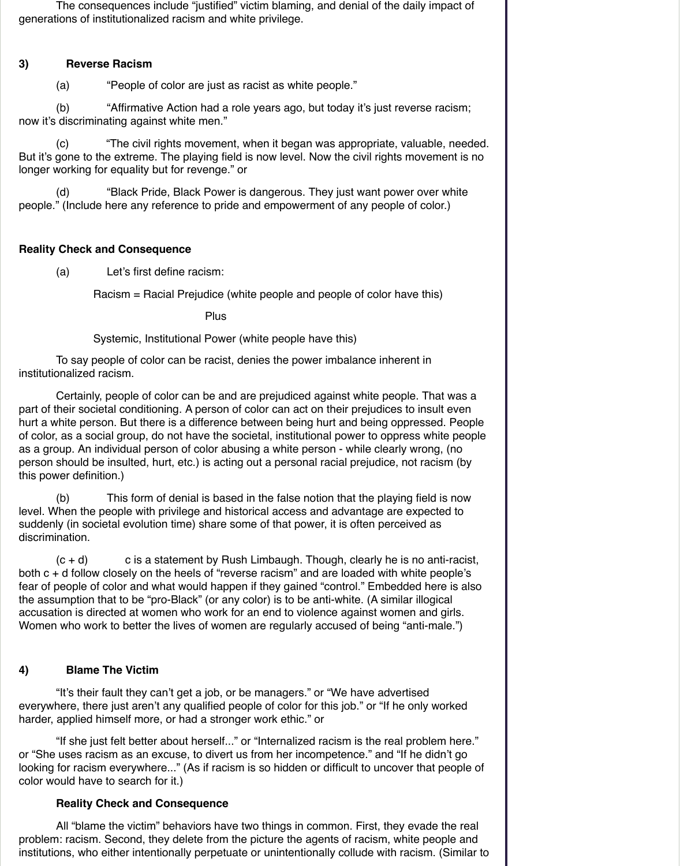The consequences include "justified" victim blaming, and denial of the daily impact of generations of institutionalized racism and white privilege.

# **3) Reverse Racism**

(a) "People of color are just as racist as white people."

 (b) "Affirmative Action had a role years ago, but today it's just reverse racism; now it's discriminating against white men."

 (c) "The civil rights movement, when it began was appropriate, valuable, needed. But it's gone to the extreme. The playing field is now level. Now the civil rights movement is no longer working for equality but for revenge." or

 (d) "Black Pride, Black Power is dangerous. They just want power over white people." (Include here any reference to pride and empowerment of any people of color.)

# **Reality Check and Consequence**

(a) Let's first define racism:

Racism = Racial Prejudice (white people and people of color have this)

**Plus Plus Plus** 

Systemic, Institutional Power (white people have this)

 To say people of color can be racist, denies the power imbalance inherent in institutionalized racism.

 $(c + d)$  c is a statement by Rush Limbaugh. Though, clearly he is no anti-racist, both c + d follow closely on the heels of "reverse racism" and are loaded with white people's fear of people of color and what would happen if they gained "control." Embedded here is also the assumption that to be "pro-Black" (or any color) is to be anti-white. (A similar illogical accusation is directed at women who work for an end to violence against women and girls. Women who work to better the lives of women are regularly accused of being "anti-male.")

 Certainly, people of color can be and are prejudiced against white people. That was a part of their societal conditioning. A person of color can act on their prejudices to insult even hurt a white person. But there is a difference between being hurt and being oppressed. People of color, as a social group, do not have the societal, institutional power to oppress white people as a group. An individual person of color abusing a white person - while clearly wrong, (no person should be insulted, hurt, etc.) is acting out a personal racial prejudice, not racism (by this power definition.)

 (b) This form of denial is based in the false notion that the playing field is now level. When the people with privilege and historical access and advantage are expected to suddenly (in societal evolution time) share some of that power, it is often perceived as discrimination.

#### **4) Blame The Victim**

 "It's their fault they can't get a job, or be managers." or "We have advertised everywhere, there just aren't any qualified people of color for this job." or "If he only worked harder, applied himself more, or had a stronger work ethic." or

 "If she just felt better about herself..." or "Internalized racism is the real problem here." or "She uses racism as an excuse, to divert us from her incompetence." and "If he didn't go looking for racism everywhere..." (As if racism is so hidden or difficult to uncover that people of color would have to search for it.)

#### **Reality Check and Consequence**

 All "blame the victim" behaviors have two things in common. First, they evade the real problem: racism. Second, they delete from the picture the agents of racism, white people and institutions, who either intentionally perpetuate or unintentionally collude with racism. (Similar to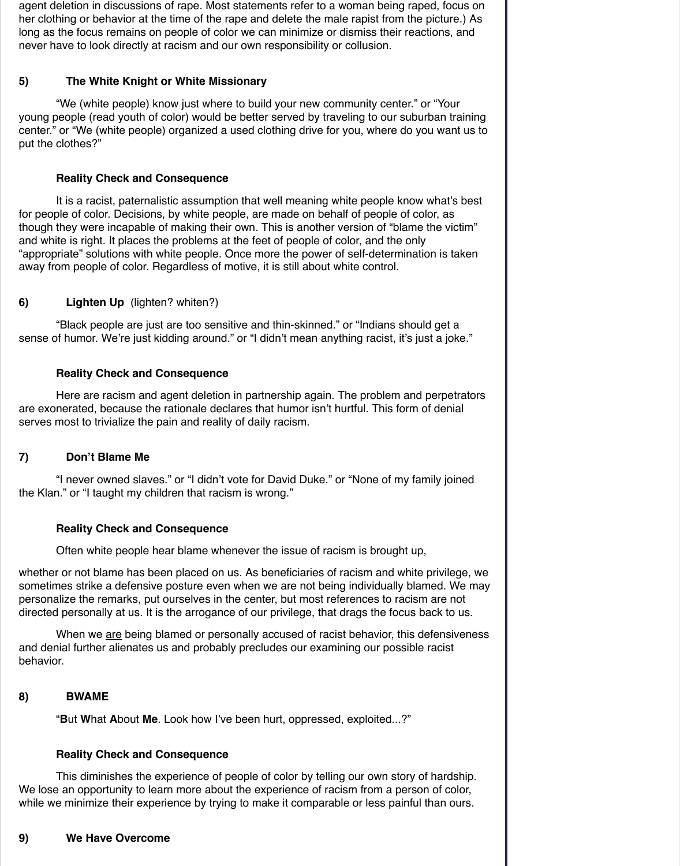agent deletion in discussions of rape. Most statements refer to a woman being raped, focus on her clothing or behavior at the time of the rape and delete the male rapist from the picture.) As long as the focus remains on people of color we can minimize or dismiss their reactions, and never have to look directly at racism and our own responsibility or collusion.

## **5) The White Knight or White Missionary**

 "We (white people) know just where to build your new community center." or "Your young people (read youth of color) would be better served by traveling to our suburban training center." or "We (white people) organized a used clothing drive for you, where do you want us to put the clothes?"

 "Black people are just are too sensitive and thin-skinned." or "Indians should get a sense of humor. We're just kidding around." or "I didn't mean anything racist, it's just a joke."

## **Reality Check and Consequence**

 It is a racist, paternalistic assumption that well meaning white people know what's best for people of color. Decisions, by white people, are made on behalf of people of color, as though they were incapable of making their own. This is another version of "blame the victim" and white is right. It places the problems at the feet of people of color, and the only "appropriate" solutions with white people. Once more the power of self-determination is taken away from people of color. Regardless of motive, it is still about white control.

## **6) Lighten Up** (lighten? whiten?)

When we are being blamed or personally accused of racist behavior, this defensiveness and denial further alienates us and probably precludes our examining our possible racist behavior.

## **Reality Check and Consequence**

 Here are racism and agent deletion in partnership again. The problem and perpetrators are exonerated, because the rationale declares that humor isn't hurtful. This form of denial serves most to trivialize the pain and reality of daily racism.

## **7) Don't Blame Me**

 "I never owned slaves." or "I didn't vote for David Duke." or "None of my family joined the Klan." or "I taught my children that racism is wrong."

## **Reality Check and Consequence**

Often white people hear blame whenever the issue of racism is brought up,

whether or not blame has been placed on us. As beneficiaries of racism and white privilege, we sometimes strike a defensive posture even when we are not being individually blamed. We may personalize the remarks, put ourselves in the center, but most references to racism are not directed personally at us. It is the arrogance of our privilege, that drags the focus back to us.

# **8) BWAME**

"**B**ut **W**hat **A**bout **Me**. Look how I've been hurt, oppressed, exploited...?"

#### **Reality Check and Consequence**

 This diminishes the experience of people of color by telling our own story of hardship. We lose an opportunity to learn more about the experience of racism from a person of color, while we minimize their experience by trying to make it comparable or less painful than ours.

# **9) We Have Overcome**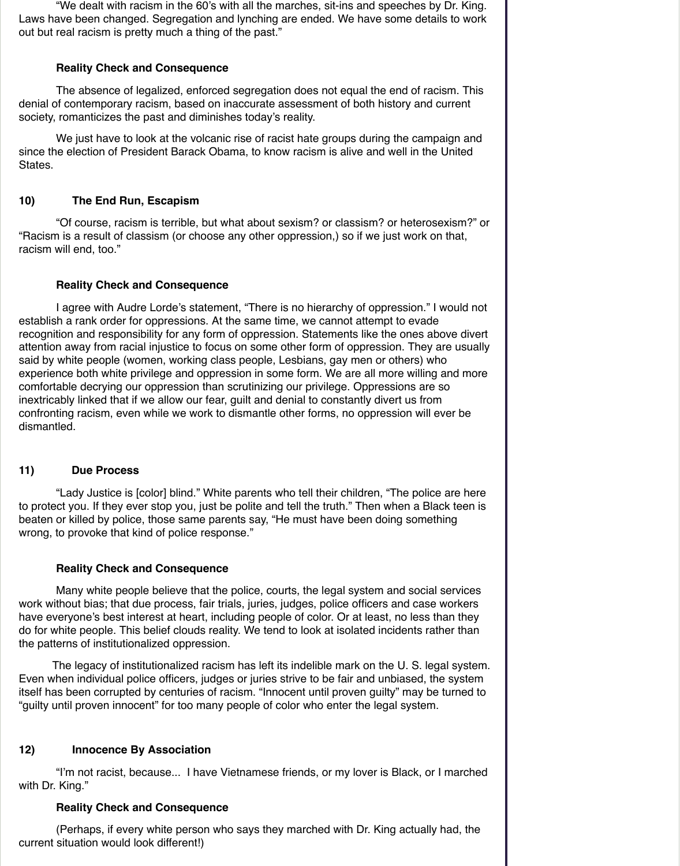"We dealt with racism in the 60's with all the marches, sit-ins and speeches by Dr. King. Laws have been changed. Segregation and lynching are ended. We have some details to work out but real racism is pretty much a thing of the past."

## **Reality Check and Consequence**

 The absence of legalized, enforced segregation does not equal the end of racism. This denial of contemporary racism, based on inaccurate assessment of both history and current society, romanticizes the past and diminishes today's reality.

 We just have to look at the volcanic rise of racist hate groups during the campaign and since the election of President Barack Obama, to know racism is alive and well in the United States.

## **10) The End Run, Escapism**

 "Of course, racism is terrible, but what about sexism? or classism? or heterosexism?" or "Racism is a result of classism (or choose any other oppression,) so if we just work on that, racism will end, too."

## **Reality Check and Consequence**

 I agree with Audre Lorde's statement, "There is no hierarchy of oppression." I would not establish a rank order for oppressions. At the same time, we cannot attempt to evade recognition and responsibility for any form of oppression. Statements like the ones above divert attention away from racial injustice to focus on some other form of oppression. They are usually said by white people (women, working class people, Lesbians, gay men or others) who experience both white privilege and oppression in some form. We are all more willing and more comfortable decrying our oppression than scrutinizing our privilege. Oppressions are so inextricably linked that if we allow our fear, guilt and denial to constantly divert us from confronting racism, even while we work to dismantle other forms, no oppression will ever be dismantled.

## **11) Due Process**

 "Lady Justice is [color] blind." White parents who tell their children, "The police are here to protect you. If they ever stop you, just be polite and tell the truth." Then when a Black teen is beaten or killed by police, those same parents say, "He must have been doing something wrong, to provoke that kind of police response."

## **Reality Check and Consequence**

 Many white people believe that the police, courts, the legal system and social services work without bias; that due process, fair trials, juries, judges, police officers and case workers have everyone's best interest at heart, including people of color. Or at least, no less than they do for white people. This belief clouds reality. We tend to look at isolated incidents rather than the patterns of institutionalized oppression.

The legacy of institutionalized racism has left its indelible mark on the U. S. legal system. Even when individual police officers, judges or juries strive to be fair and unbiased, the system itself has been corrupted by centuries of racism. "Innocent until proven guilty" may be turned to "guilty until proven innocent" for too many people of color who enter the legal system.

#### **12) Innocence By Association**

 "I'm not racist, because... I have Vietnamese friends, or my lover is Black, or I marched with Dr. King."

#### **Reality Check and Consequence**

 (Perhaps, if every white person who says they marched with Dr. King actually had, the current situation would look different!)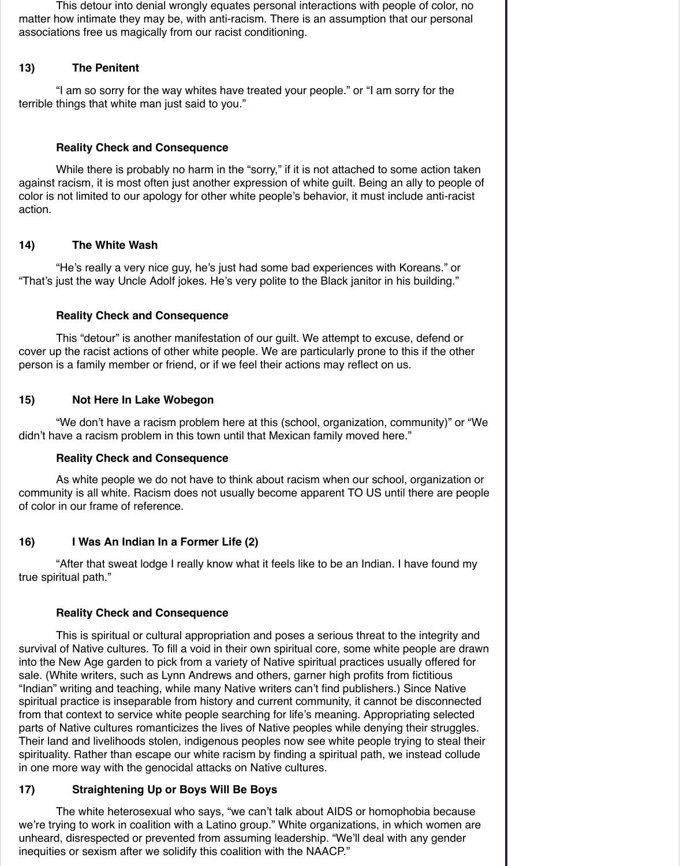This detour into denial wrongly equates personal interactions with people of color, no matter how intimate they may be, with anti-racism. There is an assumption that our personal associations free us magically from our racist conditioning.

## **13) The Penitent**

 "I am so sorry for the way whites have treated your people." or "I am sorry for the terrible things that white man just said to you."

While there is probably no harm in the "sorry," if it is not attached to some action taken against racism, it is most often just another expression of white guilt. Being an ally to people of color is not limited to our apology for other white people's behavior, it must include anti-racist action.

## **Reality Check and Consequence**

## **14) The White Wash**

"He's really a very nice guy, he's just had some bad experiences with Koreans." or "That's just the way Uncle Adolf jokes. He's very polite to the Black janitor in his building."

## **Reality Check and Consequence**

 This "detour" is another manifestation of our guilt. We attempt to excuse, defend or cover up the racist actions of other white people. We are particularly prone to this if the other person is a family member or friend, or if we feel their actions may reflect on us.

## **15) Not Here In Lake Wobegon**

 "We don't have a racism problem here at this (school, organization, community)" or "We didn't have a racism problem in this town until that Mexican family moved here."

## **Reality Check and Consequence**

 As white people we do not have to think about racism when our school, organization or community is all white. Racism does not usually become apparent TO US until there are people of color in our frame of reference.

## **16) I Was An Indian In a Former Life (2)**

"After that sweat lodge I really know what it feels like to be an Indian. I have found my true spiritual path."

## **Reality Check and Consequence**

 This is spiritual or cultural appropriation and poses a serious threat to the integrity and survival of Native cultures. To fill a void in their own spiritual core, some white people are drawn into the New Age garden to pick from a variety of Native spiritual practices usually offered for sale. (White writers, such as Lynn Andrews and others, garner high profits from fictitious "Indian" writing and teaching, while many Native writers can't find publishers.) Since Native spiritual practice is inseparable from history and current community, it cannot be disconnected from that context to service white people searching for life's meaning. Appropriating selected parts of Native cultures romanticizes the lives of Native peoples while denying their struggles. Their land and livelihoods stolen, indigenous peoples now see white people trying to steal their spirituality. Rather than escape our white racism by finding a spiritual path, we instead collude in one more way with the genocidal attacks on Native cultures.

## **17) Straightening Up or Boys Will Be Boys**

 The white heterosexual who says, "we can't talk about AIDS or homophobia because we're trying to work in coalition with a Latino group." White organizations, in which women are unheard, disrespected or prevented from assuming leadership. "We'll deal with any gender inequities or sexism after we solidify this coalition with the NAACP."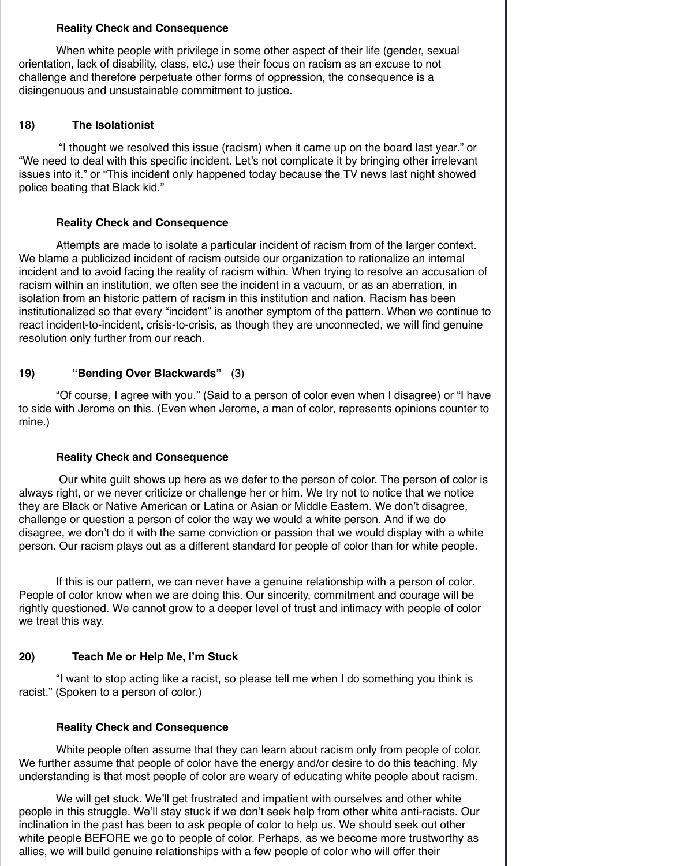#### **Reality Check and Consequence**

 When white people with privilege in some other aspect of their life (gender, sexual orientation, lack of disability, class, etc.) use their focus on racism as an excuse to not challenge and therefore perpetuate other forms of oppression, the consequence is a disingenuous and unsustainable commitment to justice.

## **18) The Isolationist**

 "I thought we resolved this issue (racism) when it came up on the board last year." or "We need to deal with this specific incident. Let's not complicate it by bringing other irrelevant issues into it." or "This incident only happened today because the TV news last night showed police beating that Black kid."

## **Reality Check and Consequence**

 Attempts are made to isolate a particular incident of racism from of the larger context. We blame a publicized incident of racism outside our organization to rationalize an internal incident and to avoid facing the reality of racism within. When trying to resolve an accusation of racism within an institution, we often see the incident in a vacuum, or as an aberration, in isolation from an historic pattern of racism in this institution and nation. Racism has been institutionalized so that every "incident" is another symptom of the pattern. When we continue to react incident-to-incident, crisis-to-crisis, as though they are unconnected, we will find genuine resolution only further from our reach.

## **19) "Bending Over Blackwards"** (3)

 "Of course, I agree with you." (Said to a person of color even when I disagree) or "I have to side with Jerome on this. (Even when Jerome, a man of color, represents opinions counter to mine.)

## **Reality Check and Consequence**

 Our white guilt shows up here as we defer to the person of color. The person of color is always right, or we never criticize or challenge her or him. We try not to notice that we notice they are Black or Native American or Latina or Asian or Middle Eastern. We don't disagree, challenge or question a person of color the way we would a white person. And if we do disagree, we don't do it with the same conviction or passion that we would display with a white person. Our racism plays out as a different standard for people of color than for white people.

 If this is our pattern, we can never have a genuine relationship with a person of color. People of color know when we are doing this. Our sincerity, commitment and courage will be rightly questioned. We cannot grow to a deeper level of trust and intimacy with people of color we treat this way.

#### **20) Teach Me or Help Me, I'm Stuck**

 "I want to stop acting like a racist, so please tell me when I do something you think is racist." (Spoken to a person of color.)

#### **Reality Check and Consequence**

 White people often assume that they can learn about racism only from people of color. We further assume that people of color have the energy and/or desire to do this teaching. My understanding is that most people of color are weary of educating white people about racism.

 We will get stuck. We'll get frustrated and impatient with ourselves and other white people in this struggle. We'll stay stuck if we don't seek help from other white anti-racists. Our inclination in the past has been to ask people of color to help us. We should seek out other white people BEFORE we go to people of color. Perhaps, as we become more trustworthy as allies, we will build genuine relationships with a few people of color who will offer their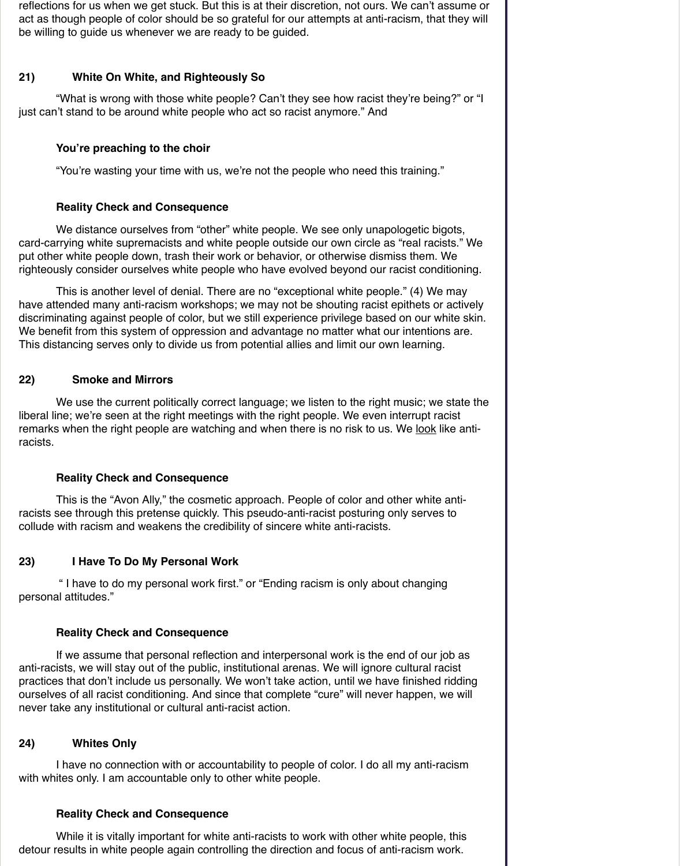reflections for us when we get stuck. But this is at their discretion, not ours. We can't assume or act as though people of color should be so grateful for our attempts at anti-racism, that they will be willing to guide us whenever we are ready to be guided.

## **21) White On White, and Righteously So**

 "What is wrong with those white people? Can't they see how racist they're being?" or "I just can't stand to be around white people who act so racist anymore." And

## **You're preaching to the choir**

We distance ourselves from "other" white people. We see only unapologetic bigots, card-carrying white supremacists and white people outside our own circle as "real racists." We put other white people down, trash their work or behavior, or otherwise dismiss them. We righteously consider ourselves white people who have evolved beyond our racist conditioning.

"You're wasting your time with us, we're not the people who need this training."

#### **Reality Check and Consequence**

 This is another level of denial. There are no "exceptional white people." (4) We may have attended many anti-racism workshops; we may not be shouting racist epithets or actively discriminating against people of color, but we still experience privilege based on our white skin. We benefit from this system of oppression and advantage no matter what our intentions are. This distancing serves only to divide us from potential allies and limit our own learning.

## **22) Smoke and Mirrors**

 We use the current politically correct language; we listen to the right music; we state the liberal line; we're seen at the right meetings with the right people. We even interrupt racist remarks when the right people are watching and when there is no risk to us. We look like antiracists.

## **Reality Check and Consequence**

 This is the "Avon Ally," the cosmetic approach. People of color and other white antiracists see through this pretense quickly. This pseudo-anti-racist posturing only serves to collude with racism and weakens the credibility of sincere white anti-racists.

## **23) I Have To Do My Personal Work**

 " I have to do my personal work first." or "Ending racism is only about changing personal attitudes."

#### **Reality Check and Consequence**

 If we assume that personal reflection and interpersonal work is the end of our job as anti-racists, we will stay out of the public, institutional arenas. We will ignore cultural racist practices that don't include us personally. We won't take action, until we have finished ridding ourselves of all racist conditioning. And since that complete "cure" will never happen, we will never take any institutional or cultural anti-racist action.

# **24) Whites Only**

 I have no connection with or accountability to people of color. I do all my anti-racism with whites only. I am accountable only to other white people.

#### **Reality Check and Consequence**

 While it is vitally important for white anti-racists to work with other white people, this detour results in white people again controlling the direction and focus of anti-racism work.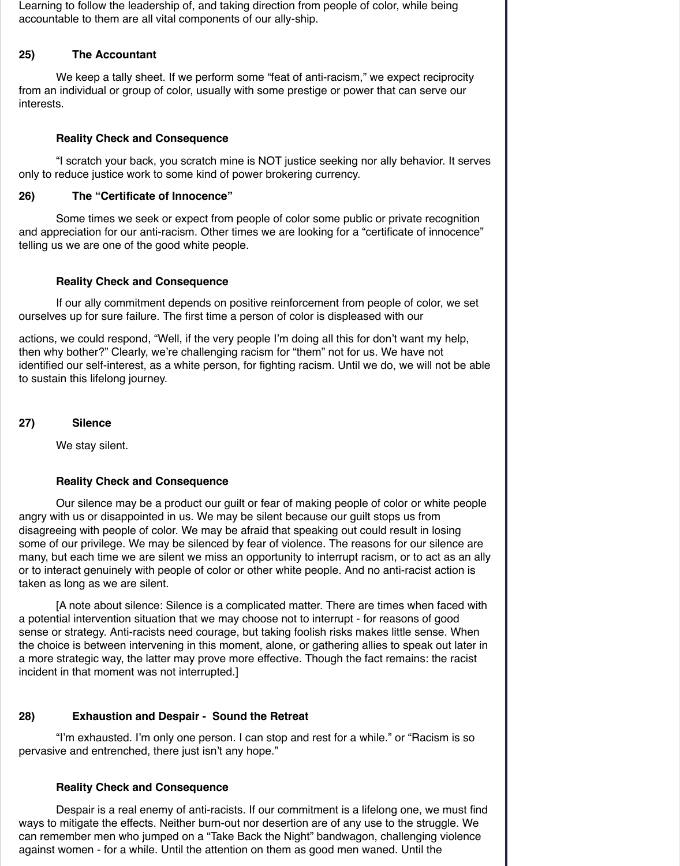Learning to follow the leadership of, and taking direction from people of color, while being accountable to them are all vital components of our ally-ship.

# **25) The Accountant**

We keep a tally sheet. If we perform some "feat of anti-racism," we expect reciprocity from an individual or group of color, usually with some prestige or power that can serve our interests.

# **Reality Check and Consequence**

 "I scratch your back, you scratch mine is NOT justice seeking nor ally behavior. It serves only to reduce justice work to some kind of power brokering currency.

# **26) The "Certificate of Innocence"**

Some times we seek or expect from people of color some public or private recognition and appreciation for our anti-racism. Other times we are looking for a "certificate of innocence" telling us we are one of the good white people.

# **Reality Check and Consequence**

 If our ally commitment depends on positive reinforcement from people of color, we set ourselves up for sure failure. The first time a person of color is displeased with our

actions, we could respond, "Well, if the very people I'm doing all this for don't want my help, then why bother?" Clearly, we're challenging racism for "them" not for us. We have not identified our self-interest, as a white person, for fighting racism. Until we do, we will not be able to sustain this lifelong journey.

## **27) Silence**

We stay silent.

# **Reality Check and Consequence**

 Our silence may be a product our guilt or fear of making people of color or white people angry with us or disappointed in us. We may be silent because our guilt stops us from disagreeing with people of color. We may be afraid that speaking out could result in losing some of our privilege. We may be silenced by fear of violence. The reasons for our silence are many, but each time we are silent we miss an opportunity to interrupt racism, or to act as an ally or to interact genuinely with people of color or other white people. And no anti-racist action is taken as long as we are silent.

 [A note about silence: Silence is a complicated matter. There are times when faced with a potential intervention situation that we may choose not to interrupt - for reasons of good sense or strategy. Anti-racists need courage, but taking foolish risks makes little sense. When the choice is between intervening in this moment, alone, or gathering allies to speak out later in a more strategic way, the latter may prove more effective. Though the fact remains: the racist incident in that moment was not interrupted.]

## **28) Exhaustion and Despair - Sound the Retreat**

 "I'm exhausted. I'm only one person. I can stop and rest for a while." or "Racism is so pervasive and entrenched, there just isn't any hope."

#### **Reality Check and Consequence**

 Despair is a real enemy of anti-racists. If our commitment is a lifelong one, we must find ways to mitigate the effects. Neither burn-out nor desertion are of any use to the struggle. We can remember men who jumped on a "Take Back the Night" bandwagon, challenging violence against women - for a while. Until the attention on them as good men waned. Until the